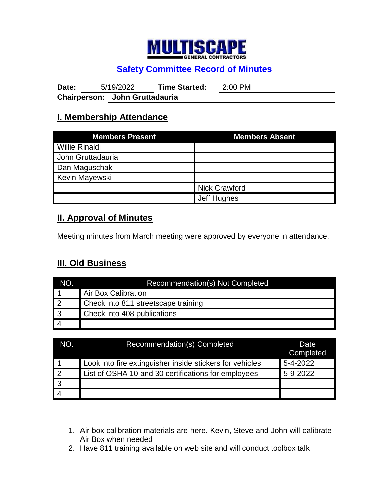

## **Safety Committee Record of Minutes**

**Date:** 5/19/2022 **Time Started:** 2:00 PM **Chairperson: John Gruttadauria**

#### **I. Membership Attendance**

| <b>Members Present</b> | <b>Members Absent</b> |  |
|------------------------|-----------------------|--|
| <b>Willie Rinaldi</b>  |                       |  |
| John Gruttadauria      |                       |  |
| Dan Maguschak          |                       |  |
| Kevin Mayewski         |                       |  |
|                        | Nick Crawford         |  |
|                        | Jeff Hughes           |  |

#### **II. Approval of Minutes**

Meeting minutes from March meeting were approved by everyone in attendance.

### **III. Old Business**

| NO.             | Recommendation(s) Not Completed     |
|-----------------|-------------------------------------|
|                 | <b>Air Box Calibration</b>          |
| $\overline{12}$ | Check into 811 streetscape training |
| $\overline{3}$  | Check into 408 publications         |
| $\vert$ 4       |                                     |

| NO.            | Recommendation(s) Completed                              | Date<br>Completed |
|----------------|----------------------------------------------------------|-------------------|
|                | Look into fire extinguisher inside stickers for vehicles | 5-4-2022          |
| $\overline{2}$ | List of OSHA 10 and 30 certifications for employees      | 5-9-2022          |
| $\overline{3}$ |                                                          |                   |
|                |                                                          |                   |

- 1. Air box calibration materials are here. Kevin, Steve and John will calibrate Air Box when needed
- 2. Have 811 training available on web site and will conduct toolbox talk